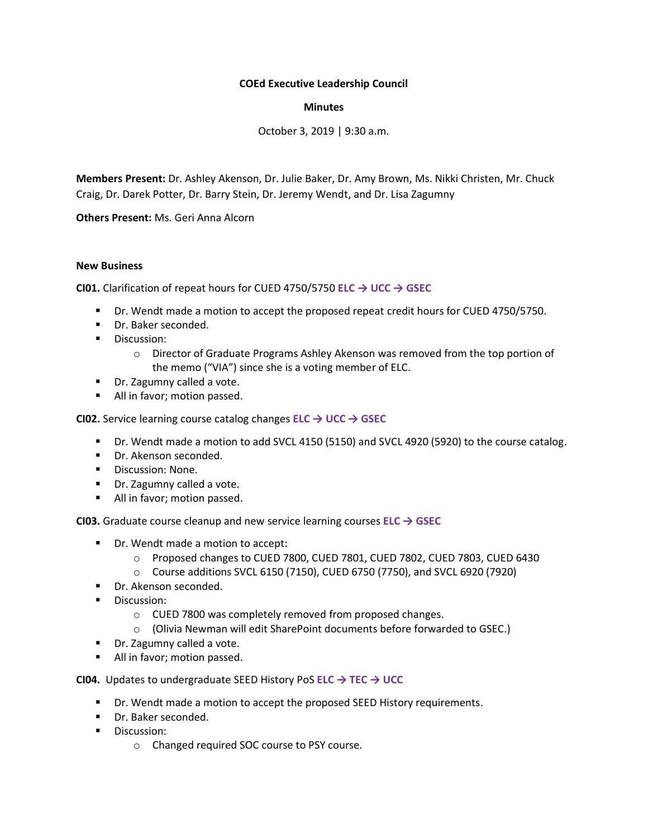# **COEd Executive Leadership Council**

## **Minutes**

October 3, 2019 | 9:30 a.m.

**Members Present:** Dr. Ashley Akenson, Dr. Julie Baker, Dr. Amy Brown, Ms. Nikki Christen, Mr. Chuck Craig, Dr. Darek Potter, Dr. Barry Stein, Dr. Jeremy Wendt, and Dr. Lisa Zagumny

**Others Present:** Ms. Geri Anna Alcorn

### **New Business**

**CI01.** Clarification of repeat hours for CUED 4750/5750 **ELC → UCC → GSEC**

- Dr. Wendt made a motion to accept the proposed repeat credit hours for CUED 4750/5750.
- Dr. Baker seconded.
- Discussion:
	- o Director of Graduate Programs Ashley Akenson was removed from the top portion of the memo ("VIA") since she is a voting member of ELC.
- Dr. Zagumny called a vote.
- All in favor; motion passed.

**CI02.** Service learning course catalog changes **ELC → UCC → GSEC**

- Dr. Wendt made a motion to add SVCL 4150 (5150) and SVCL 4920 (5920) to the course catalog.
- Dr. Akenson seconded.
- Discussion: None.
- Dr. Zagumny called a vote.
- All in favor; motion passed.

**CI03.** Graduate course cleanup and new service learning courses **ELC → GSEC**

- Dr. Wendt made a motion to accept:
	- o Proposed changes to CUED 7800, CUED 7801, CUED 7802, CUED 7803, CUED 6430
	- $\circ$  Course additions SVCL 6150 (7150), CUED 6750 (7750), and SVCL 6920 (7920)
- Dr. Akenson seconded.
- **■** Discussion:
	- o CUED 7800 was completely removed from proposed changes.
	- o (Olivia Newman will edit SharePoint documents before forwarded to GSEC.)
- Dr. Zagumny called a vote.
- All in favor; motion passed.

**CI04.** Updates to undergraduate SEED History PoS **ELC → TEC → UCC**

- Dr. Wendt made a motion to accept the proposed SEED History requirements.
- Dr. Baker seconded.
- **■** Discussion:
	- o Changed required SOC course to PSY course.